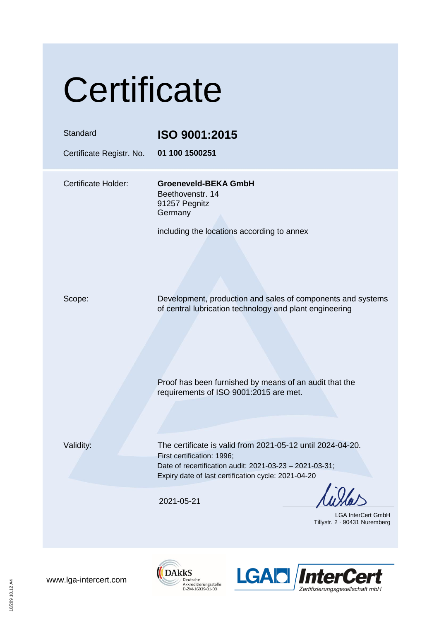## **Certificate**

| <b>Standard</b><br>Certificate Registr. No. | ISO 9001:2015<br>01 100 1500251                                                                                                                                                                            |
|---------------------------------------------|------------------------------------------------------------------------------------------------------------------------------------------------------------------------------------------------------------|
| Certificate Holder:                         | <b>Groeneveld-BEKA GmbH</b><br>Beethovenstr. 14<br>91257 Pegnitz<br>Germany<br>including the locations according to annex                                                                                  |
| Scope:                                      | Development, production and sales of components and systems<br>of central lubrication technology and plant engineering                                                                                     |
|                                             | Proof has been furnished by means of an audit that the<br>requirements of ISO 9001:2015 are met.                                                                                                           |
| Validity:                                   | The certificate is valid from 2021-05-12 until 2024-04-20.<br>First certification: 1996;<br>Date of recertification audit: 2021-03-23 - 2021-03-31;<br>Expiry date of last certification cycle: 2021-04-20 |
|                                             | 2021-05-21<br><b>LGA InterCert GmbH</b><br>Tillystr. 2 90431 Nuremberg                                                                                                                                     |